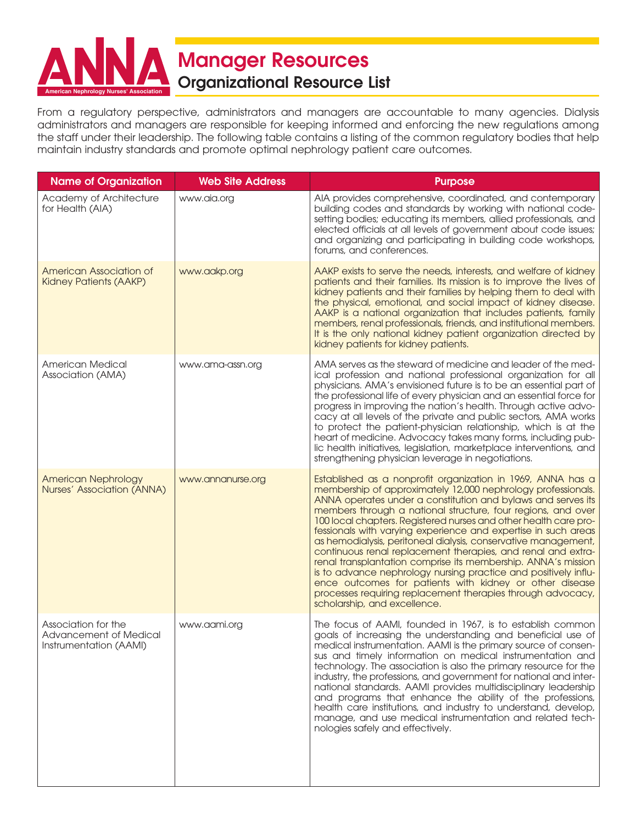

From a regulatory perspective, administrators and managers are accountable to many agencies. Dialysis administrators and managers are responsible for keeping informed and enforcing the new regulations among the staff under their leadership. The following table contains a listing of the common regulatory bodies that help maintain industry standards and promote optimal nephrology patient care outcomes.

| <b>Name of Organization</b>                                             | <b>Web Site Address</b> | <b>Purpose</b>                                                                                                                                                                                                                                                                                                                                                                                                                                                                                                                                                                                                                                                                                                                                                                                                                    |
|-------------------------------------------------------------------------|-------------------------|-----------------------------------------------------------------------------------------------------------------------------------------------------------------------------------------------------------------------------------------------------------------------------------------------------------------------------------------------------------------------------------------------------------------------------------------------------------------------------------------------------------------------------------------------------------------------------------------------------------------------------------------------------------------------------------------------------------------------------------------------------------------------------------------------------------------------------------|
| Academy of Architecture<br>for Health (AIA)                             | www.aia.org             | AIA provides comprehensive, coordinated, and contemporary<br>building codes and standards by working with national code-<br>setting bodies; educating its members, allied professionals, and<br>elected officials at all levels of government about code issues;<br>and organizing and participating in building code workshops,<br>forums, and conferences.                                                                                                                                                                                                                                                                                                                                                                                                                                                                      |
| American Association of<br><b>Kidney Patients (AAKP)</b>                | www.aakp.org            | AAKP exists to serve the needs, interests, and welfare of kidney<br>patients and their families. Its mission is to improve the lives of<br>kidney patients and their families by helping them to deal with<br>the physical, emotional, and social impact of kidney disease.<br>AAKP is a national organization that includes patients, family<br>members, renal professionals, friends, and institutional members.<br>It is the only national kidney patient organization directed by<br>kidney patients for kidney patients.                                                                                                                                                                                                                                                                                                     |
| American Medical<br>Association (AMA)                                   | www.ama-assn.org        | AMA serves as the steward of medicine and leader of the med-<br>ical profession and national professional organization for all<br>physicians. AMA's envisioned future is to be an essential part of<br>the professional life of every physician and an essential force for<br>progress in improving the nation's health. Through active advo-<br>cacy at all levels of the private and public sectors, AMA works<br>to protect the patient-physician relationship, which is at the<br>heart of medicine. Advocacy takes many forms, including pub-<br>lic health initiatives, legislation, marketplace interventions, and<br>strengthening physician leverage in negotiations.                                                                                                                                                    |
| <b>American Nephrology</b><br>Nurses' Association (ANNA)                | www.annanurse.org       | Established as a nonprofit organization in 1969, ANNA has a<br>membership of approximately 12,000 nephrology professionals.<br>ANNA operates under a constitution and bylaws and serves its<br>members through a national structure, four regions, and over<br>100 local chapters. Registered nurses and other health care pro-<br>fessionals with varying experience and expertise in such areas<br>as hemodialysis, peritoneal dialysis, conservative management,<br>continuous renal replacement therapies, and renal and extra-<br>renal transplantation comprise its membership. ANNA's mission<br>is to advance nephrology nursing practice and positively influ-<br>ence outcomes for patients with kidney or other disease<br>processes requiring replacement therapies through advocacy,<br>scholarship, and excellence. |
| Association for the<br>Advancement of Medical<br>Instrumentation (AAMI) | www.aami.org            | The focus of AAMI, founded in 1967, is to establish common<br>goals of increasing the understanding and beneficial use of<br>medical instrumentation. AAMI is the primary source of consen-<br>sus and timely information on medical instrumentation and<br>technology. The association is also the primary resource for the<br>industry, the professions, and government for national and inter-<br>national standards. AAMI provides multidisciplinary leadership<br>and programs that enhance the ability of the professions,<br>health care institutions, and industry to understand, develop,<br>manage, and use medical instrumentation and related tech-<br>nologies safely and effectively.                                                                                                                               |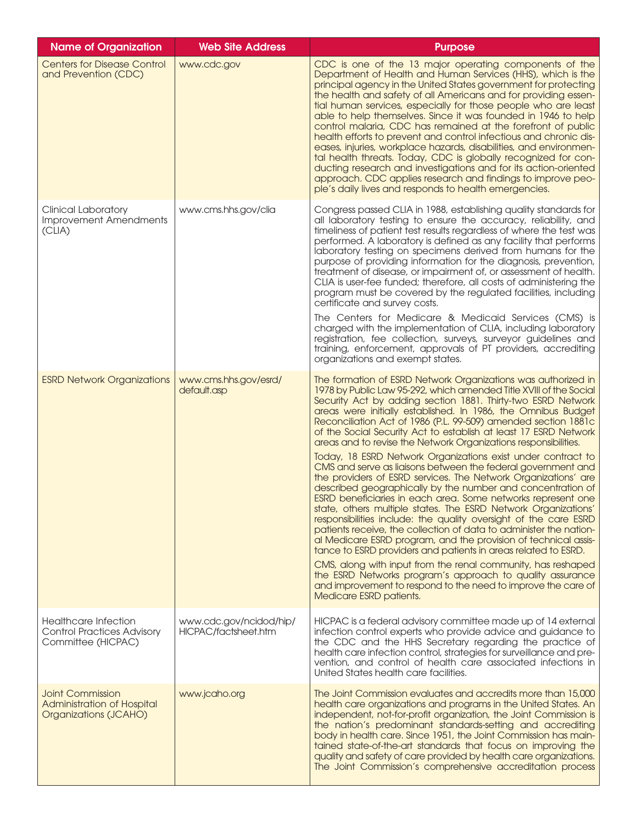| <b>Name of Organization</b>                                                            | <b>Web Site Address</b>                         | <b>Purpose</b>                                                                                                                                                                                                                                                                                                                                                                                                                                                                                                                                                                                                                                                                                                                                                                                                                                                                                                                                                                                                                                                                                                                                                                                                                                                                                                                                                                           |
|----------------------------------------------------------------------------------------|-------------------------------------------------|------------------------------------------------------------------------------------------------------------------------------------------------------------------------------------------------------------------------------------------------------------------------------------------------------------------------------------------------------------------------------------------------------------------------------------------------------------------------------------------------------------------------------------------------------------------------------------------------------------------------------------------------------------------------------------------------------------------------------------------------------------------------------------------------------------------------------------------------------------------------------------------------------------------------------------------------------------------------------------------------------------------------------------------------------------------------------------------------------------------------------------------------------------------------------------------------------------------------------------------------------------------------------------------------------------------------------------------------------------------------------------------|
| <b>Centers for Disease Control</b><br>and Prevention (CDC)                             | www.cdc.gov                                     | CDC is one of the 13 major operating components of the<br>Department of Health and Human Services (HHS), which is the<br>principal agency in the United States government for protecting<br>the health and safety of all Americans and for providing essen-<br>tial human services, especially for those people who are least<br>able to help themselves. Since it was founded in 1946 to help<br>control malaria, CDC has remained at the forefront of public<br>health efforts to prevent and control infectious and chronic dis-<br>eases, injuries, workplace hazards, disabilities, and environmen-<br>tal health threats. Today, CDC is globally recognized for con-<br>ducting research and investigations and for its action-oriented<br>approach. CDC applies research and findings to improve peo-<br>ple's daily lives and responds to health emergencies.                                                                                                                                                                                                                                                                                                                                                                                                                                                                                                                    |
| <b>Clinical Laboratory</b><br><b>Improvement Amendments</b><br>(CLIA)                  | www.cms.hhs.gov/clia                            | Congress passed CLIA in 1988, establishing quality standards for<br>all laboratory testing to ensure the accuracy, reliability, and<br>timeliness of patient test results regardless of where the test was<br>performed. A laboratory is defined as any facility that performs<br>laboratory testing on specimens derived from humans for the<br>purpose of providing information for the diagnosis, prevention,<br>treatment of disease, or impairment of, or assessment of health.<br>CLIA is user-fee funded; therefore, all costs of administering the<br>program must be covered by the regulated facilities, including<br>certificate and survey costs.<br>The Centers for Medicare & Medicaid Services (CMS) is<br>charged with the implementation of CLIA, including laboratory<br>registration, fee collection, surveys, surveyor guidelines and<br>training, enforcement, approvals of PT providers, accrediting<br>organizations and exempt states.                                                                                                                                                                                                                                                                                                                                                                                                                           |
| <b>ESRD Network Organizations</b>                                                      | www.cms.hhs.gov/esrd/<br>default.asp            | The formation of ESRD Network Organizations was authorized in<br>1978 by Public Law 95-292, which amended Title XVIII of the Social<br>Security Act by adding section 1881. Thirty-two ESRD Network<br>areas were initially established. In 1986, the Omnibus Budget<br>Reconciliation Act of 1986 (P.L. 99-509) amended section 1881c<br>of the Social Security Act to establish at least 17 ESRD Network<br>areas and to revise the Network Organizations responsibilities.<br>Today, 18 ESRD Network Organizations exist under contract to<br>CMS and serve as liaisons between the federal government and<br>the providers of ESRD services. The Network Organizations' are<br>described geographically by the number and concentration of<br>ESRD beneficiaries in each area. Some networks represent one<br>state, others multiple states. The ESRD Network Organizations'<br>responsibilities include: the quality oversight of the care ESRD<br>patients receive, the collection of data to administer the nation-<br>al Medicare ESRD program, and the provision of technical assis-<br>tance to ESRD providers and patients in areas related to ESRD.<br>CMS, along with input from the renal community, has reshaped<br>the ESRD Networks program's approach to quality assurance<br>and improvement to respond to the need to improve the care of<br>Medicare ESRD patients. |
| <b>Healthcare Infection</b><br><b>Control Practices Advisory</b><br>Committee (HICPAC) | www.cdc.gov/ncidod/hip/<br>HICPAC/factsheet.htm | HICPAC is a federal advisory committee made up of 14 external<br>infection control experts who provide advice and guidance to<br>the CDC and the HHS Secretary regarding the practice of<br>health care infection control, strategies for surveillance and pre-<br>vention, and control of health care associated infections in<br>United States health care facilities.                                                                                                                                                                                                                                                                                                                                                                                                                                                                                                                                                                                                                                                                                                                                                                                                                                                                                                                                                                                                                 |
| <b>Joint Commission</b><br>Administration of Hospital<br>Organizations (JCAHO)         | www.jcaho.org                                   | The Joint Commission evaluates and accredits more than 15,000<br>health care organizations and programs in the United States. An<br>independent, not-for-profit organization, the Joint Commission is<br>the nation's predominant standards-setting and accrediting<br>body in health care. Since 1951, the Joint Commission has main-<br>tained state-of-the-art standards that focus on improving the<br>quality and safety of care provided by health care organizations.<br>The Joint Commission's comprehensive accreditation process                                                                                                                                                                                                                                                                                                                                                                                                                                                                                                                                                                                                                                                                                                                                                                                                                                               |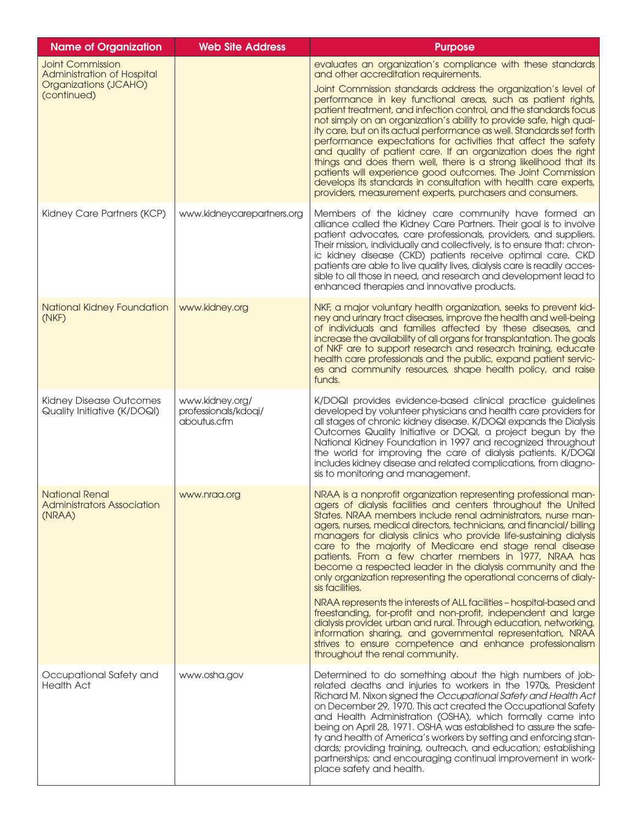| <b>Name of Organization</b>                                                                          | <b>Web Site Address</b>                                | <b>Purpose</b>                                                                                                                                                                                                                                                                                                                                                                                                                                                                                                                                                                                                                                                                                                                                                                                                                                                                                                                                                                                             |
|------------------------------------------------------------------------------------------------------|--------------------------------------------------------|------------------------------------------------------------------------------------------------------------------------------------------------------------------------------------------------------------------------------------------------------------------------------------------------------------------------------------------------------------------------------------------------------------------------------------------------------------------------------------------------------------------------------------------------------------------------------------------------------------------------------------------------------------------------------------------------------------------------------------------------------------------------------------------------------------------------------------------------------------------------------------------------------------------------------------------------------------------------------------------------------------|
| <b>Joint Commission</b><br><b>Administration of Hospital</b><br>Organizations (JCAHO)<br>(continued) |                                                        | evaluates an organization's compliance with these standards<br>and other accreditation requirements.<br>Joint Commission standards address the organization's level of<br>performance in key functional areas, such as patient rights,<br>patient treatment, and infection control, and the standards focus<br>not simply on an organization's ability to provide safe, high qual-<br>ity care, but on its actual performance as well. Standards set forth<br>performance expectations for activities that affect the safety<br>and quality of patient care. If an organization does the right<br>things and does them well, there is a strong likelihood that its<br>patients will experience good outcomes. The Joint Commission<br>develops its standards in consultation with health care experts,<br>providers, measurement experts, purchasers and consumers.                                                                                                                                        |
| Kidney Care Partners (KCP)                                                                           | www.kidneycarepartners.org                             | Members of the kidney care community have formed an<br>alliance called the Kidney Care Partners. Their goal is to involve<br>patient advocates, care professionals, providers, and suppliers.<br>Their mission, individually and collectively, is to ensure that: chron-<br>ic kidney disease (CKD) patients receive optimal care, CKD<br>patients are able to live quality lives, dialysis care is readily acces-<br>sible to all those in need, and research and development lead to<br>enhanced therapies and innovative products.                                                                                                                                                                                                                                                                                                                                                                                                                                                                      |
| National Kidney Foundation<br>(NKF)                                                                  | www.kidney.org                                         | NKF, a major voluntary health organization, seeks to prevent kid-<br>ney and urinary tract diseases, improve the health and well-being<br>of individuals and families affected by these diseases, and<br>increase the availability of all organs for transplantation. The goals<br>of NKF are to support research and research training, educate<br>health care professionals and the public, expand patient servic-<br>es and community resources, shape health policy, and raise<br>funds.                                                                                                                                                                                                                                                                                                                                                                                                                                                                                                               |
| Kidney Disease Outcomes<br>Quality Initiative (K/DOQI)                                               | www.kidney.org/<br>professionals/kdoqi/<br>aboutus.cfm | K/DOQI provides evidence-based clinical practice guidelines<br>developed by volunteer physicians and health care providers for<br>all stages of chronic kidney disease. K/DOQI expands the Dialysis<br>Outcomes Quality Initiative or DOQI, a project begun by the<br>National Kidney Foundation in 1997 and recognized throughout<br>the world for improving the care of dialysis patients. K/DOQI<br>includes kidney disease and related complications, from diagno-<br>sis to monitoring and management.                                                                                                                                                                                                                                                                                                                                                                                                                                                                                                |
| <b>National Renal</b><br><b>Administrators Association</b><br>(NRAA)                                 | www.nraa.org                                           | NRAA is a nonprofit organization representing professional man-<br>agers of dialysis facilities and centers throughout the United<br>States. NRAA members include renal administrators, nurse man-<br>agers, nurses, medical directors, technicians, and financial/billing<br>managers for dialysis clinics who provide life-sustaining dialysis<br>care to the majority of Medicare end stage renal disease<br>patients. From a few charter members in 1977, NRAA has<br>become a respected leader in the dialysis community and the<br>only organization representing the operational concerns of dialy-<br>sis facilities.<br>NRAA represents the interests of ALL facilities - hospital-based and<br>freestanding, for-profit and non-profit, independent and large<br>dialysis provider, urban and rural. Through education, networking,<br>information sharing, and governmental representation, NRAA<br>strives to ensure competence and enhance professionalism<br>throughout the renal community. |
| Occupational Safety and<br><b>Health Act</b>                                                         | www.osha.gov                                           | Determined to do something about the high numbers of job-<br>related deaths and injuries to workers in the 1970s, President<br>Richard M. Nixon signed the Occupational Safety and Health Act<br>on December 29, 1970. This act created the Occupational Safety<br>and Health Administration (OSHA), which formally came into<br>being on April 28, 1971. OSHA was established to assure the safe-<br>ty and health of America's workers by setting and enforcing stan-<br>dards; providing training, outreach, and education; establishing<br>partnerships; and encouraging continual improvement in work-<br>place safety and health.                                                                                                                                                                                                                                                                                                                                                                    |